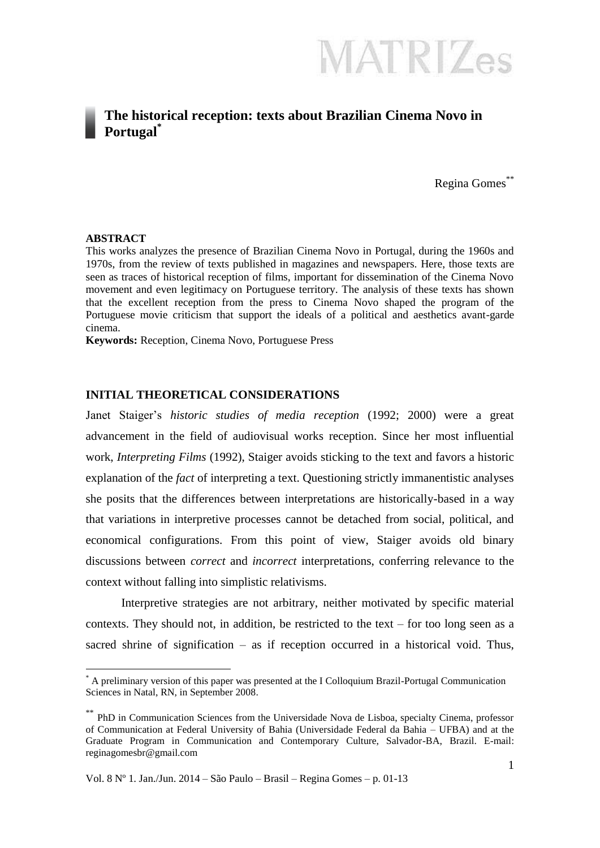**MATRIZes** 

#### **The historical reception: texts about Brazilian Cinema Novo in Portugal\***

Regina Gomes\*\*

#### **ABSTRACT**

1

This works analyzes the presence of Brazilian Cinema Novo in Portugal, during the 1960s and 1970s, from the review of texts published in magazines and newspapers. Here, those texts are seen as traces of historical reception of films, important for dissemination of the Cinema Novo movement and even legitimacy on Portuguese territory. The analysis of these texts has shown that the excellent reception from the press to Cinema Novo shaped the program of the Portuguese movie criticism that support the ideals of a political and aesthetics avant-garde cinema.

**Keywords:** Reception, Cinema Novo, Portuguese Press

#### **INITIAL THEORETICAL CONSIDERATIONS**

Janet Staiger's *historic studies of media reception* (1992; 2000) were a great advancement in the field of audiovisual works reception. Since her most influential work, *Interpreting Films* (1992), Staiger avoids sticking to the text and favors a historic explanation of the *fact* of interpreting a text. Questioning strictly immanentistic analyses she posits that the differences between interpretations are historically-based in a way that variations in interpretive processes cannot be detached from social, political, and economical configurations. From this point of view, Staiger avoids old binary discussions between *correct* and *incorrect* interpretations, conferring relevance to the context without falling into simplistic relativisms.

Interpretive strategies are not arbitrary, neither motivated by specific material contexts. They should not, in addition, be restricted to the text – for too long seen as a sacred shrine of signification – as if reception occurred in a historical void. Thus,

<sup>\*</sup> A preliminary version of this paper was presented at the I Colloquium Brazil-Portugal Communication Sciences in Natal, RN, in September 2008.

<sup>\*\*</sup> PhD in Communication Sciences from the Universidade Nova de Lisboa, specialty Cinema, professor of Communication at Federal University of Bahia (Universidade Federal da Bahia – UFBA) and at the Graduate Program in Communication and Contemporary Culture, Salvador-BA, Brazil. E-mail: reginagomesbr@gmail.com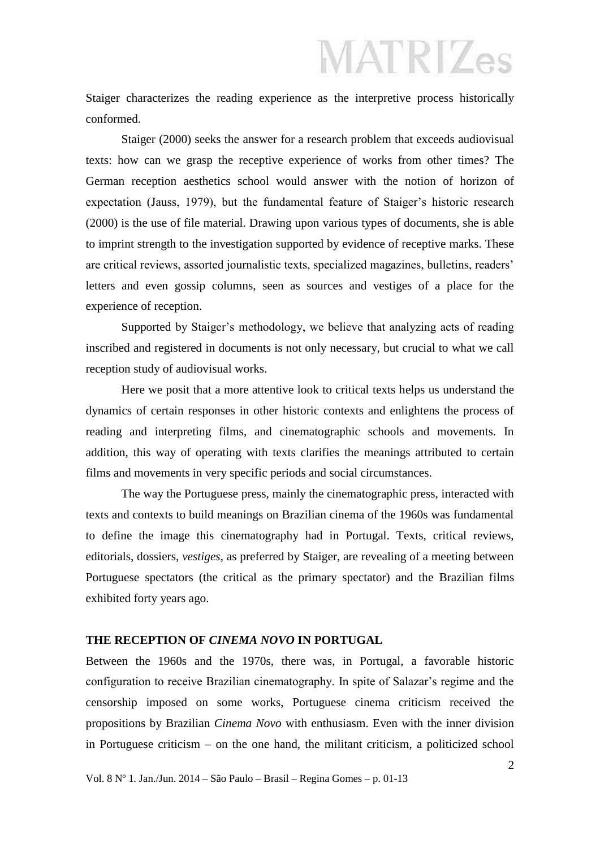Staiger characterizes the reading experience as the interpretive process historically conformed.

Staiger (2000) seeks the answer for a research problem that exceeds audiovisual texts: how can we grasp the receptive experience of works from other times? The German reception aesthetics school would answer with the notion of horizon of expectation (Jauss, 1979), but the fundamental feature of Staiger's historic research (2000) is the use of file material. Drawing upon various types of documents, she is able to imprint strength to the investigation supported by evidence of receptive marks. These are critical reviews, assorted journalistic texts, specialized magazines, bulletins, readers' letters and even gossip columns, seen as sources and vestiges of a place for the experience of reception.

Supported by Staiger's methodology, we believe that analyzing acts of reading inscribed and registered in documents is not only necessary, but crucial to what we call reception study of audiovisual works.

Here we posit that a more attentive look to critical texts helps us understand the dynamics of certain responses in other historic contexts and enlightens the process of reading and interpreting films, and cinematographic schools and movements. In addition, this way of operating with texts clarifies the meanings attributed to certain films and movements in very specific periods and social circumstances.

The way the Portuguese press, mainly the cinematographic press, interacted with texts and contexts to build meanings on Brazilian cinema of the 1960s was fundamental to define the image this cinematography had in Portugal. Texts, critical reviews, editorials, dossiers, *vestiges*, as preferred by Staiger, are revealing of a meeting between Portuguese spectators (the critical as the primary spectator) and the Brazilian films exhibited forty years ago.

#### **THE RECEPTION OF** *CINEMA NOVO* **IN PORTUGAL**

Between the 1960s and the 1970s, there was, in Portugal, a favorable historic configuration to receive Brazilian cinematography. In spite of Salazar's regime and the censorship imposed on some works, Portuguese cinema criticism received the propositions by Brazilian *Cinema Novo* with enthusiasm. Even with the inner division in Portuguese criticism – on the one hand, the militant criticism, a politicized school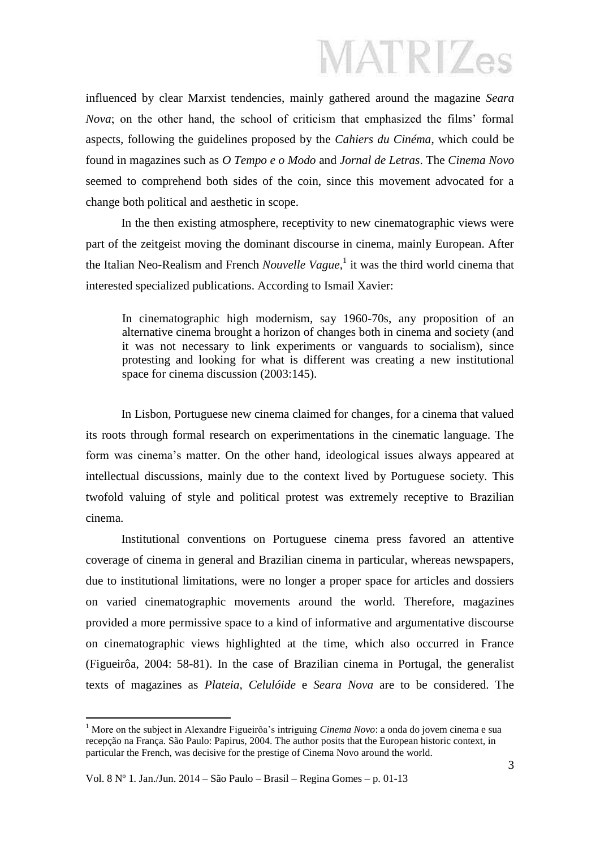influenced by clear Marxist tendencies, mainly gathered around the magazine *Seara Nova*; on the other hand, the school of criticism that emphasized the films' formal aspects, following the guidelines proposed by the *Cahiers du Cinéma*, which could be found in magazines such as *O Tempo e o Modo* and *Jornal de Letras*. The *Cinema Novo* seemed to comprehend both sides of the coin, since this movement advocated for a change both political and aesthetic in scope.

In the then existing atmosphere, receptivity to new cinematographic views were part of the zeitgeist moving the dominant discourse in cinema, mainly European. After the Italian Neo-Realism and French *Nouvelle Vague*,<sup>1</sup> it was the third world cinema that interested specialized publications. According to Ismail Xavier:

In cinematographic high modernism, say 1960-70s, any proposition of an alternative cinema brought a horizon of changes both in cinema and society (and it was not necessary to link experiments or vanguards to socialism), since protesting and looking for what is different was creating a new institutional space for cinema discussion (2003:145).

In Lisbon, Portuguese new cinema claimed for changes, for a cinema that valued its roots through formal research on experimentations in the cinematic language. The form was cinema's matter. On the other hand, ideological issues always appeared at intellectual discussions, mainly due to the context lived by Portuguese society. This twofold valuing of style and political protest was extremely receptive to Brazilian cinema.

Institutional conventions on Portuguese cinema press favored an attentive coverage of cinema in general and Brazilian cinema in particular, whereas newspapers, due to institutional limitations, were no longer a proper space for articles and dossiers on varied cinematographic movements around the world. Therefore, magazines provided a more permissive space to a kind of informative and argumentative discourse on cinematographic views highlighted at the time, which also occurred in France (Figueirôa, 2004: 58-81). In the case of Brazilian cinema in Portugal, the generalist texts of magazines as *Plateia*, *Celulóide* e *Seara Nova* are to be considered. The

1

<sup>1</sup> More on the subject in Alexandre Figueirôa's intriguing *Cinema Novo*: a onda do jovem cinema e sua recepção na França. São Paulo: Papirus, 2004. The author posits that the European historic context, in particular the French, was decisive for the prestige of Cinema Novo around the world.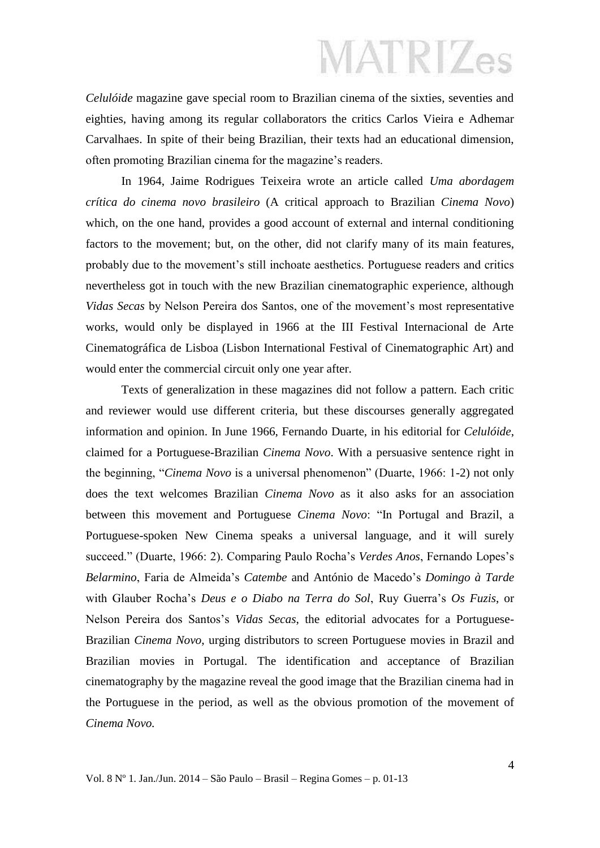*Celulóide* magazine gave special room to Brazilian cinema of the sixties, seventies and eighties, having among its regular collaborators the critics Carlos Vieira e Adhemar Carvalhaes. In spite of their being Brazilian, their texts had an educational dimension, often promoting Brazilian cinema for the magazine's readers.

In 1964, Jaime Rodrigues Teixeira wrote an article called *Uma abordagem crítica do cinema novo brasileiro* (A critical approach to Brazilian *Cinema Novo*) which, on the one hand, provides a good account of external and internal conditioning factors to the movement; but, on the other, did not clarify many of its main features, probably due to the movement's still inchoate aesthetics. Portuguese readers and critics nevertheless got in touch with the new Brazilian cinematographic experience, although *Vidas Secas* by Nelson Pereira dos Santos, one of the movement's most representative works, would only be displayed in 1966 at the III Festival Internacional de Arte Cinematográfica de Lisboa (Lisbon International Festival of Cinematographic Art) and would enter the commercial circuit only one year after.

Texts of generalization in these magazines did not follow a pattern. Each critic and reviewer would use different criteria, but these discourses generally aggregated information and opinion. In June 1966, Fernando Duarte, in his editorial for *Celulóide*, claimed for a Portuguese-Brazilian *Cinema Novo*. With a persuasive sentence right in the beginning, "*Cinema Novo* is a universal phenomenon" (Duarte, 1966: 1-2) not only does the text welcomes Brazilian *Cinema Novo* as it also asks for an association between this movement and Portuguese *Cinema Novo*: "In Portugal and Brazil, a Portuguese-spoken New Cinema speaks a universal language, and it will surely succeed." (Duarte, 1966: 2). Comparing Paulo Rocha's *Verdes Anos*, Fernando Lopes's *Belarmino*, Faria de Almeida's *Catembe* and António de Macedo's *Domingo à Tarde*  with Glauber Rocha's *Deus e o Diabo na Terra do Sol*, Ruy Guerra's *Os Fuzis*, or Nelson Pereira dos Santos's *Vidas Secas*, the editorial advocates for a Portuguese-Brazilian *Cinema Novo*, urging distributors to screen Portuguese movies in Brazil and Brazilian movies in Portugal. The identification and acceptance of Brazilian cinematography by the magazine reveal the good image that the Brazilian cinema had in the Portuguese in the period, as well as the obvious promotion of the movement of *Cinema Novo.*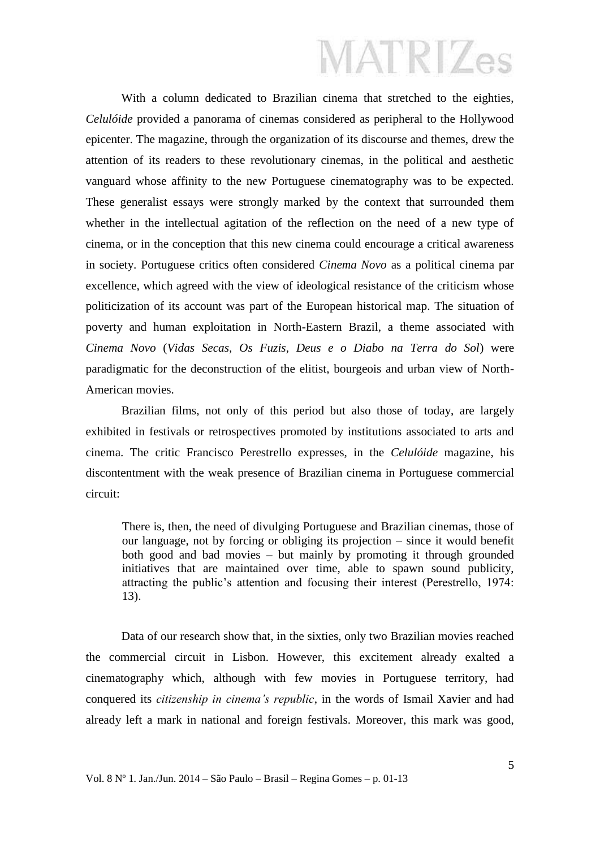With a column dedicated to Brazilian cinema that stretched to the eighties, *Celulóide* provided a panorama of cinemas considered as peripheral to the Hollywood epicenter. The magazine, through the organization of its discourse and themes, drew the attention of its readers to these revolutionary cinemas, in the political and aesthetic vanguard whose affinity to the new Portuguese cinematography was to be expected. These generalist essays were strongly marked by the context that surrounded them whether in the intellectual agitation of the reflection on the need of a new type of cinema, or in the conception that this new cinema could encourage a critical awareness in society. Portuguese critics often considered *Cinema Novo* as a political cinema par excellence, which agreed with the view of ideological resistance of the criticism whose politicization of its account was part of the European historical map. The situation of poverty and human exploitation in North-Eastern Brazil, a theme associated with *Cinema Novo* (*Vidas Secas, Os Fuzis, Deus e o Diabo na Terra do Sol*) were paradigmatic for the deconstruction of the elitist, bourgeois and urban view of North-American movies.

Brazilian films, not only of this period but also those of today, are largely exhibited in festivals or retrospectives promoted by institutions associated to arts and cinema. The critic Francisco Perestrello expresses, in the *Celulóide* magazine, his discontentment with the weak presence of Brazilian cinema in Portuguese commercial circuit:

There is, then, the need of divulging Portuguese and Brazilian cinemas, those of our language, not by forcing or obliging its projection – since it would benefit both good and bad movies – but mainly by promoting it through grounded initiatives that are maintained over time, able to spawn sound publicity, attracting the public's attention and focusing their interest (Perestrello, 1974: 13).

Data of our research show that, in the sixties, only two Brazilian movies reached the commercial circuit in Lisbon. However, this excitement already exalted a cinematography which, although with few movies in Portuguese territory, had conquered its *citizenship in cinema's republic*, in the words of Ismail Xavier and had already left a mark in national and foreign festivals. Moreover, this mark was good,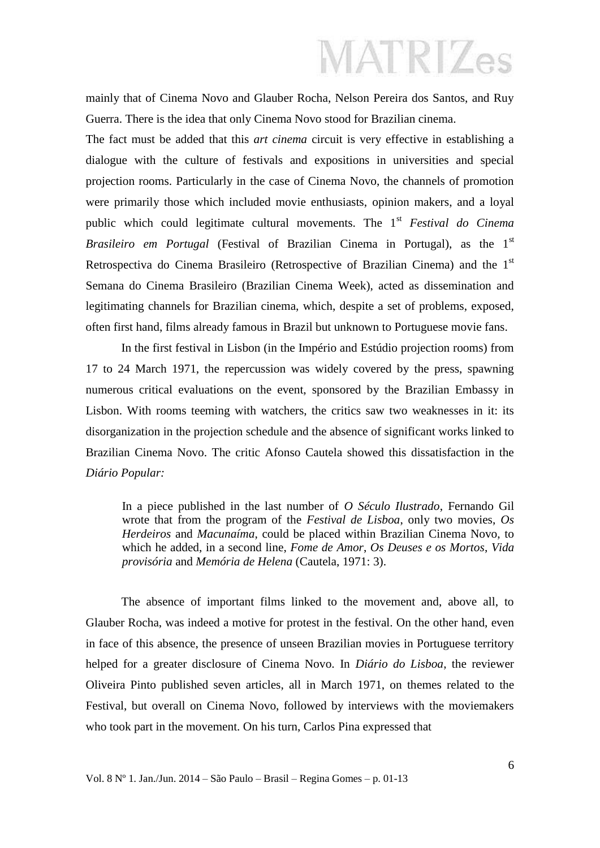mainly that of Cinema Novo and Glauber Rocha, Nelson Pereira dos Santos, and Ruy Guerra. There is the idea that only Cinema Novo stood for Brazilian cinema.

The fact must be added that this *art cinema* circuit is very effective in establishing a dialogue with the culture of festivals and expositions in universities and special projection rooms. Particularly in the case of Cinema Novo, the channels of promotion were primarily those which included movie enthusiasts, opinion makers, and a loyal public which could legitimate cultural movements. The 1st *Festival do Cinema Brasileiro em Portugal* (Festival of Brazilian Cinema in Portugal), as the 1<sup>st</sup> Retrospectiva do Cinema Brasileiro (Retrospective of Brazilian Cinema) and the 1st Semana do Cinema Brasileiro (Brazilian Cinema Week), acted as dissemination and legitimating channels for Brazilian cinema, which, despite a set of problems, exposed, often first hand, films already famous in Brazil but unknown to Portuguese movie fans.

In the first festival in Lisbon (in the Império and Estúdio projection rooms) from 17 to 24 March 1971, the repercussion was widely covered by the press, spawning numerous critical evaluations on the event, sponsored by the Brazilian Embassy in Lisbon. With rooms teeming with watchers, the critics saw two weaknesses in it: its disorganization in the projection schedule and the absence of significant works linked to Brazilian Cinema Novo. The critic Afonso Cautela showed this dissatisfaction in the *Diário Popular:*

In a piece published in the last number of *O Século Ilustrado*, Fernando Gil wrote that from the program of the *Festival de Lisboa*, only two movies, *Os Herdeiros* and *Macunaíma*, could be placed within Brazilian Cinema Novo, to which he added, in a second line, *Fome de Amor*, *Os Deuses e os Mortos*, *Vida provisória* and *Memória de Helena* (Cautela, 1971: 3).

The absence of important films linked to the movement and, above all, to Glauber Rocha, was indeed a motive for protest in the festival. On the other hand, even in face of this absence, the presence of unseen Brazilian movies in Portuguese territory helped for a greater disclosure of Cinema Novo. In *Diário do Lisboa*, the reviewer Oliveira Pinto published seven articles, all in March 1971, on themes related to the Festival, but overall on Cinema Novo, followed by interviews with the moviemakers who took part in the movement. On his turn, Carlos Pina expressed that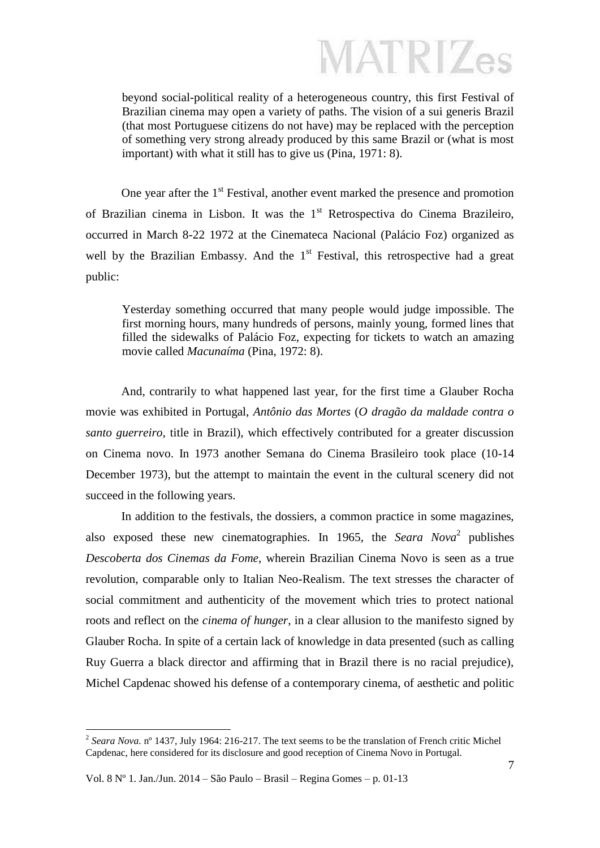beyond social-political reality of a heterogeneous country, this first Festival of Brazilian cinema may open a variety of paths. The vision of a sui generis Brazil (that most Portuguese citizens do not have) may be replaced with the perception of something very strong already produced by this same Brazil or (what is most important) with what it still has to give us (Pina, 1971: 8).

One year after the  $1<sup>st</sup>$  Festival, another event marked the presence and promotion of Brazilian cinema in Lisbon. It was the  $1<sup>st</sup>$  Retrospectiva do Cinema Brazileiro, occurred in March 8-22 1972 at the Cinemateca Nacional (Palácio Foz) organized as well by the Brazilian Embassy. And the  $1<sup>st</sup>$  Festival, this retrospective had a great public:

Yesterday something occurred that many people would judge impossible. The first morning hours, many hundreds of persons, mainly young, formed lines that filled the sidewalks of Palácio Foz, expecting for tickets to watch an amazing movie called *Macunaíma* (Pina, 1972: 8).

And, contrarily to what happened last year, for the first time a Glauber Rocha movie was exhibited in Portugal, *Antônio das Mortes* (*O dragão da maldade contra o santo guerreiro*, title in Brazil), which effectively contributed for a greater discussion on Cinema novo. In 1973 another Semana do Cinema Brasileiro took place (10-14 December 1973), but the attempt to maintain the event in the cultural scenery did not succeed in the following years.

In addition to the festivals, the dossiers, a common practice in some magazines, also exposed these new cinematographies. In 1965, the *Seara Nova*<sup>2</sup> publishes *Descoberta dos Cinemas da Fome*, wherein Brazilian Cinema Novo is seen as a true revolution, comparable only to Italian Neo-Realism. The text stresses the character of social commitment and authenticity of the movement which tries to protect national roots and reflect on the *cinema of hunger*, in a clear allusion to the manifesto signed by Glauber Rocha. In spite of a certain lack of knowledge in data presented (such as calling Ruy Guerra a black director and affirming that in Brazil there is no racial prejudice), Michel Capdenac showed his defense of a contemporary cinema, of aesthetic and politic

<u>.</u>

<sup>&</sup>lt;sup>2</sup> Seara Nova. n<sup>o</sup> 1437, July 1964: 216-217. The text seems to be the translation of French critic Michel Capdenac, here considered for its disclosure and good reception of Cinema Novo in Portugal.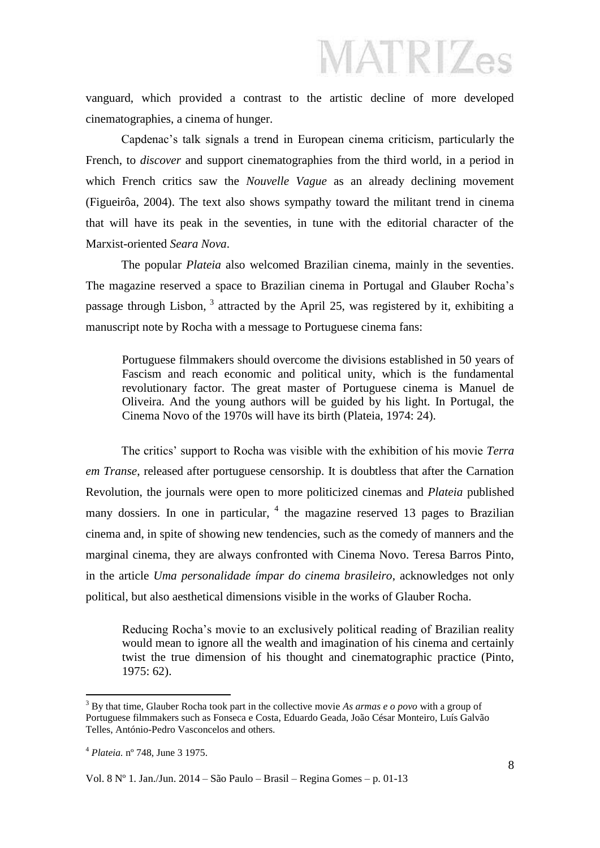vanguard, which provided a contrast to the artistic decline of more developed cinematographies, a cinema of hunger.

Capdenac's talk signals a trend in European cinema criticism, particularly the French, to *discover* and support cinematographies from the third world, in a period in which French critics saw the *Nouvelle Vague* as an already declining movement (Figueirôa, 2004). The text also shows sympathy toward the militant trend in cinema that will have its peak in the seventies, in tune with the editorial character of the Marxist-oriented *Seara Nova*.

The popular *Plateia* also welcomed Brazilian cinema, mainly in the seventies. The magazine reserved a space to Brazilian cinema in Portugal and Glauber Rocha's passage through Lisbon,  $3$  attracted by the April 25, was registered by it, exhibiting a manuscript note by Rocha with a message to Portuguese cinema fans:

Portuguese filmmakers should overcome the divisions established in 50 years of Fascism and reach economic and political unity, which is the fundamental revolutionary factor. The great master of Portuguese cinema is Manuel de Oliveira. And the young authors will be guided by his light. In Portugal, the Cinema Novo of the 1970s will have its birth (Plateia, 1974: 24).

The critics' support to Rocha was visible with the exhibition of his movie *Terra em Transe*, released after portuguese censorship. It is doubtless that after the Carnation Revolution, the journals were open to more politicized cinemas and *Plateia* published many dossiers. In one in particular,  $4$  the magazine reserved 13 pages to Brazilian cinema and, in spite of showing new tendencies, such as the comedy of manners and the marginal cinema, they are always confronted with Cinema Novo. Teresa Barros Pinto, in the article *Uma personalidade ímpar do cinema brasileiro*, acknowledges not only political, but also aesthetical dimensions visible in the works of Glauber Rocha.

Reducing Rocha's movie to an exclusively political reading of Brazilian reality would mean to ignore all the wealth and imagination of his cinema and certainly twist the true dimension of his thought and cinematographic practice (Pinto, 1975: 62).

1

<sup>3</sup> By that time, Glauber Rocha took part in the collective movie *As armas e o povo* with a group of Portuguese filmmakers such as Fonseca e Costa, Eduardo Geada, João César Monteiro, Luís Galvão Telles, António-Pedro Vasconcelos and others.

<sup>4</sup> *Plateia.* nº 748, June 3 1975.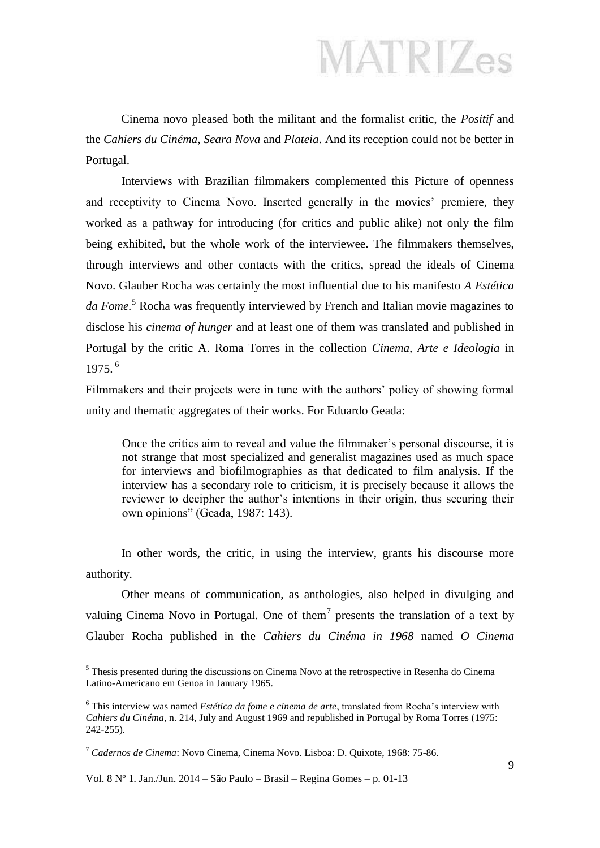Cinema novo pleased both the militant and the formalist critic, the *Positif* and the *Cahiers du Cinéma*, *Seara Nova* and *Plateia*. And its reception could not be better in Portugal.

Interviews with Brazilian filmmakers complemented this Picture of openness and receptivity to Cinema Novo. Inserted generally in the movies' premiere, they worked as a pathway for introducing (for critics and public alike) not only the film being exhibited, but the whole work of the interviewee. The filmmakers themselves, through interviews and other contacts with the critics, spread the ideals of Cinema Novo. Glauber Rocha was certainly the most influential due to his manifesto *A Estética da Fome.*<sup>5</sup> Rocha was frequently interviewed by French and Italian movie magazines to disclose his *cinema of hunger* and at least one of them was translated and published in Portugal by the critic A. Roma Torres in the collection *Cinema, Arte e Ideologia* in 1975. <sup>6</sup>

Filmmakers and their projects were in tune with the authors' policy of showing formal unity and thematic aggregates of their works. For Eduardo Geada:

Once the critics aim to reveal and value the filmmaker's personal discourse, it is not strange that most specialized and generalist magazines used as much space for interviews and biofilmographies as that dedicated to film analysis. If the interview has a secondary role to criticism, it is precisely because it allows the reviewer to decipher the author's intentions in their origin, thus securing their own opinions" (Geada, 1987: 143).

In other words, the critic, in using the interview, grants his discourse more authority.

Other means of communication, as anthologies, also helped in divulging and valuing Cinema Novo in Portugal. One of them<sup>7</sup> presents the translation of a text by Glauber Rocha published in the *Cahiers du Cinéma in 1968* named *O Cinema* 

Vol. 8 Nº 1. Jan./Jun. 2014 – São Paulo – Brasil – Regina Gomes – p. 01-13

<u>.</u>

<sup>&</sup>lt;sup>5</sup> Thesis presented during the discussions on Cinema Novo at the retrospective in Resenha do Cinema Latino-Americano em Genoa in January 1965.

<sup>6</sup> This interview was named *Estética da fome e cinema de arte*, translated from Rocha's interview with *Cahiers du Cinéma*, n. 214, July and August 1969 and republished in Portugal by Roma Torres (1975: 242-255).

<sup>7</sup> *Cadernos de Cinema*: Novo Cinema, Cinema Novo. Lisboa: D. Quixote, 1968: 75-86.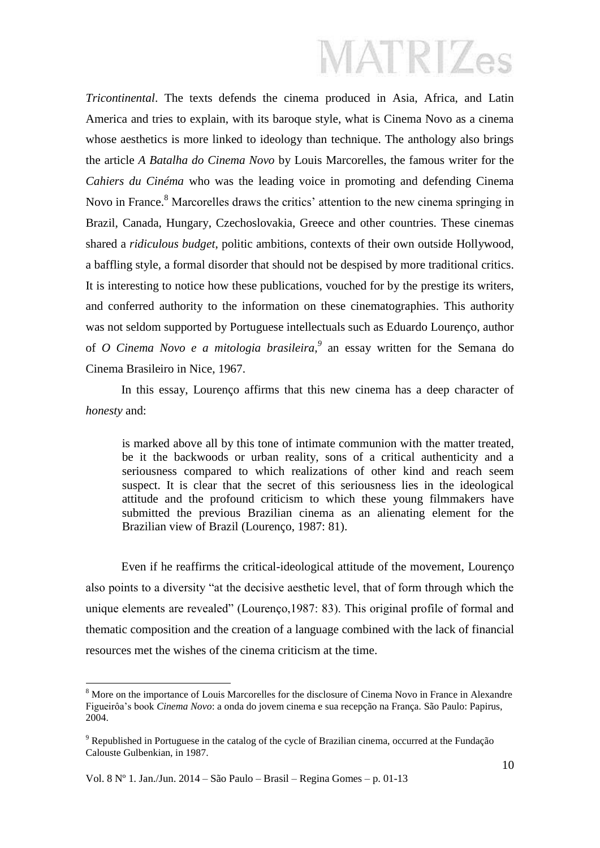*Tricontinental*. The texts defends the cinema produced in Asia, Africa, and Latin America and tries to explain, with its baroque style, what is Cinema Novo as a cinema whose aesthetics is more linked to ideology than technique. The anthology also brings the article *A Batalha do Cinema Novo* by Louis Marcorelles, the famous writer for the *Cahiers du Cinéma* who was the leading voice in promoting and defending Cinema Novo in France.<sup>8</sup> Marcorelles draws the critics' attention to the new cinema springing in Brazil, Canada, Hungary, Czechoslovakia, Greece and other countries. These cinemas shared a *ridiculous budget*, politic ambitions, contexts of their own outside Hollywood, a baffling style, a formal disorder that should not be despised by more traditional critics. It is interesting to notice how these publications, vouched for by the prestige its writers, and conferred authority to the information on these cinematographies. This authority was not seldom supported by Portuguese intellectuals such as Eduardo Lourenço, author of *O Cinema Novo e a mitologia brasileira,<sup>9</sup>* an essay written for the Semana do Cinema Brasileiro in Nice, 1967.

In this essay, Lourenço affirms that this new cinema has a deep character of *honesty* and:

is marked above all by this tone of intimate communion with the matter treated, be it the backwoods or urban reality, sons of a critical authenticity and a seriousness compared to which realizations of other kind and reach seem suspect. It is clear that the secret of this seriousness lies in the ideological attitude and the profound criticism to which these young filmmakers have submitted the previous Brazilian cinema as an alienating element for the Brazilian view of Brazil (Lourenço, 1987: 81).

Even if he reaffirms the critical-ideological attitude of the movement, Lourenço also points to a diversity "at the decisive aesthetic level, that of form through which the unique elements are revealed" (Lourenço,1987: 83). This original profile of formal and thematic composition and the creation of a language combined with the lack of financial resources met the wishes of the cinema criticism at the time.

Vol. 8 Nº 1. Jan./Jun. 2014 – São Paulo – Brasil – Regina Gomes – p. 01-13

<u>.</u>

<sup>&</sup>lt;sup>8</sup> More on the importance of Louis Marcorelles for the disclosure of Cinema Novo in France in Alexandre Figueirôa's book *Cinema Novo*: a onda do jovem cinema e sua recepção na França*.* São Paulo: Papirus, 2004.

<sup>9</sup> Republished in Portuguese in the catalog of the cycle of Brazilian cinema, occurred at the Fundação Calouste Gulbenkian, in 1987.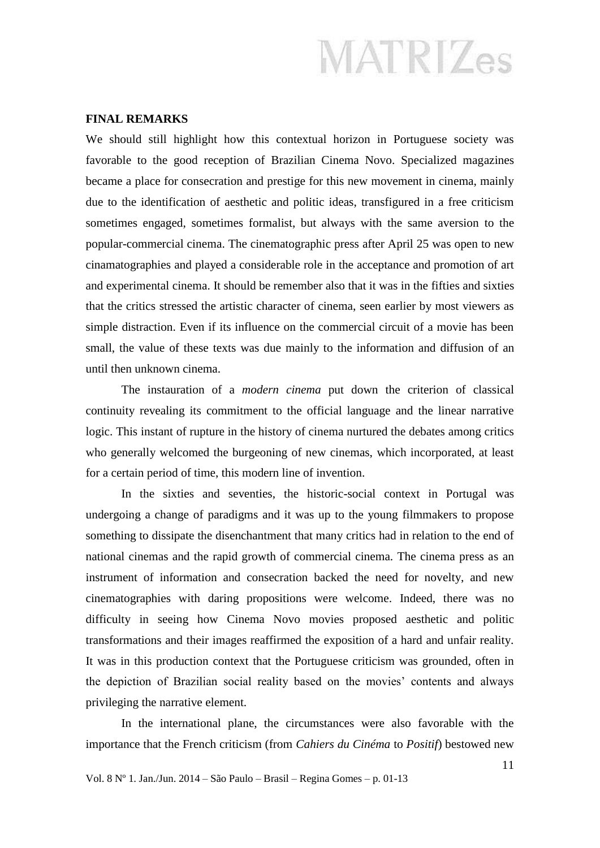#### **FINAL REMARKS**

We should still highlight how this contextual horizon in Portuguese society was favorable to the good reception of Brazilian Cinema Novo. Specialized magazines became a place for consecration and prestige for this new movement in cinema, mainly due to the identification of aesthetic and politic ideas, transfigured in a free criticism sometimes engaged, sometimes formalist, but always with the same aversion to the popular-commercial cinema. The cinematographic press after April 25 was open to new cinamatographies and played a considerable role in the acceptance and promotion of art and experimental cinema. It should be remember also that it was in the fifties and sixties that the critics stressed the artistic character of cinema, seen earlier by most viewers as simple distraction. Even if its influence on the commercial circuit of a movie has been small, the value of these texts was due mainly to the information and diffusion of an until then unknown cinema.

The instauration of a *modern cinema* put down the criterion of classical continuity revealing its commitment to the official language and the linear narrative logic. This instant of rupture in the history of cinema nurtured the debates among critics who generally welcomed the burgeoning of new cinemas, which incorporated, at least for a certain period of time, this modern line of invention.

In the sixties and seventies, the historic-social context in Portugal was undergoing a change of paradigms and it was up to the young filmmakers to propose something to dissipate the disenchantment that many critics had in relation to the end of national cinemas and the rapid growth of commercial cinema. The cinema press as an instrument of information and consecration backed the need for novelty, and new cinematographies with daring propositions were welcome. Indeed, there was no difficulty in seeing how Cinema Novo movies proposed aesthetic and politic transformations and their images reaffirmed the exposition of a hard and unfair reality. It was in this production context that the Portuguese criticism was grounded, often in the depiction of Brazilian social reality based on the movies' contents and always privileging the narrative element.

In the international plane, the circumstances were also favorable with the importance that the French criticism (from *Cahiers du Cinéma* to *Positif*) bestowed new

Vol. 8 Nº 1. Jan./Jun. 2014 – São Paulo – Brasil – Regina Gomes – p. 01-13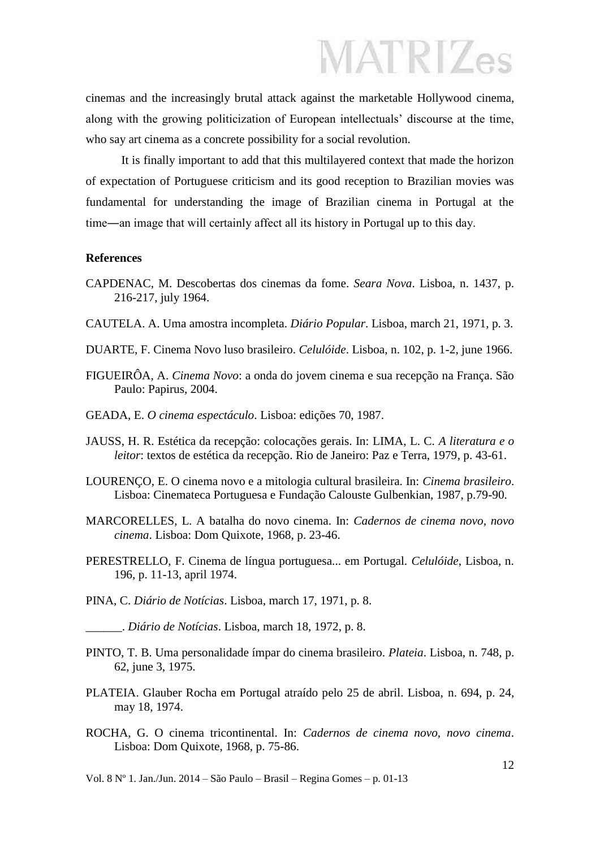cinemas and the increasingly brutal attack against the marketable Hollywood cinema, along with the growing politicization of European intellectuals' discourse at the time, who say art cinema as a concrete possibility for a social revolution.

It is finally important to add that this multilayered context that made the horizon of expectation of Portuguese criticism and its good reception to Brazilian movies was fundamental for understanding the image of Brazilian cinema in Portugal at the time―an image that will certainly affect all its history in Portugal up to this day.

#### **References**

- CAPDENAC, M. Descobertas dos cinemas da fome. *Seara Nova*. Lisboa, n. 1437, p. 216-217, july 1964.
- CAUTELA. A. Uma amostra incompleta. *Diário Popular*. Lisboa, march 21, 1971, p. 3.
- DUARTE, F. Cinema Novo luso brasileiro. *Celulóide*. Lisboa, n. 102, p. 1-2, june 1966.
- FIGUEIRÔA, A. *Cinema Novo*: a onda do jovem cinema e sua recepção na França. São Paulo: Papirus, 2004.
- GEADA, E. *O cinema espectáculo*. Lisboa: edições 70, 1987.
- JAUSS, H. R. Estética da recepção: colocações gerais. In: LIMA, L. C. *A literatura e o leitor*: textos de estética da recepção. Rio de Janeiro: Paz e Terra, 1979, p. 43-61.
- LOURENÇO, E. O cinema novo e a mitologia cultural brasileira. In: *Cinema brasileiro*. Lisboa: Cinemateca Portuguesa e Fundação Calouste Gulbenkian, 1987, p.79-90.
- MARCORELLES, L. A batalha do novo cinema. In: *Cadernos de cinema novo, novo cinema*. Lisboa: Dom Quixote, 1968, p. 23-46.
- PERESTRELLO, F. Cinema de língua portuguesa... em Portugal. *Celulóide*, Lisboa, n. 196, p. 11-13, april 1974.
- PINA, C. *Diário de Notícias*. Lisboa, march 17, 1971, p. 8.
- \_\_\_\_\_\_. *Diário de Notícias*. Lisboa, march 18, 1972, p. 8.
- PINTO, T. B. Uma personalidade ímpar do cinema brasileiro. *Plateia*. Lisboa, n. 748, p. 62, june 3, 1975.
- PLATEIA. Glauber Rocha em Portugal atraído pelo 25 de abril. Lisboa, n. 694, p. 24, may 18, 1974.
- ROCHA, G. O cinema tricontinental. In: *Cadernos de cinema novo, novo cinema*. Lisboa: Dom Quixote, 1968, p. 75-86.

Vol. 8 Nº 1. Jan./Jun. 2014 – São Paulo – Brasil – Regina Gomes – p. 01-13